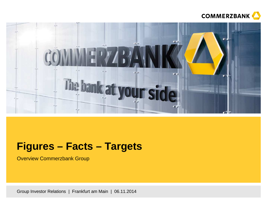



# **Figures – Facts – Targets**

Overview Commerzbank Group

Group Investor Relations | Frankfurt am Main | 06.11.2014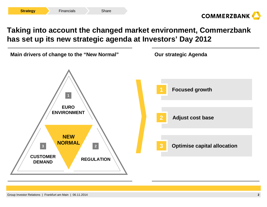

## **Taking into account the changed market environment, Commerzbank has set up its new strategic agenda at Investors' Day 2012**

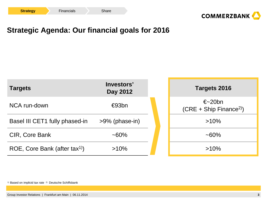



## **Strategic Agenda: Our financial goals for 2016**



1) Based on implicid tax rate 2) Deutsche Schiffsbank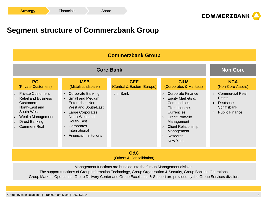

## **Segment structure of Commerzbank Group**

| <b>Commerzbank Group</b>                                                                                                                                                        |                                                                                                                                                                                                                                              |                                          |                                                                                                                                                                                                                                                                             |                                                                                      |  |  |  |
|---------------------------------------------------------------------------------------------------------------------------------------------------------------------------------|----------------------------------------------------------------------------------------------------------------------------------------------------------------------------------------------------------------------------------------------|------------------------------------------|-----------------------------------------------------------------------------------------------------------------------------------------------------------------------------------------------------------------------------------------------------------------------------|--------------------------------------------------------------------------------------|--|--|--|
|                                                                                                                                                                                 | <b>Non Core</b>                                                                                                                                                                                                                              |                                          |                                                                                                                                                                                                                                                                             |                                                                                      |  |  |  |
| <b>PC</b><br>(Private Customers)                                                                                                                                                | <b>MSB</b><br>(Mittelstandsbank)                                                                                                                                                                                                             | <b>CEE</b><br>(Central & Eastern Europe) | <b>C&amp;M</b><br>(Corporates & Markets)                                                                                                                                                                                                                                    | <b>NCA</b><br>(Non-Core Assets)                                                      |  |  |  |
| <b>Private Customers</b><br><b>Retail and Business</b><br><b>Customers</b><br>North-East and<br>South-West<br>Wealth Management<br><b>Direct Banking</b><br><b>Commerz Real</b> | <b>Corporate Banking</b><br><b>Small and Medium</b><br><b>Enterprises North-</b><br>West and South-East<br>Large Corporates<br>$\rightarrow$<br>North-West and<br>South-East<br>Corporates<br>International<br><b>Financial Institutions</b> | $\rightarrow$ mBank                      | <b>Corporate Finance</b><br>Equity Markets &<br>Commodities<br>Fixed Income,<br>$\rightarrow$<br>Currencies<br><b>Credit Portfolio</b><br>$\rightarrow$<br>Management<br><b>Client Relationship</b><br>$\rightarrow$<br>Management<br>Research<br>$\rightarrow$<br>New York | <b>Commercial Real</b><br>Estate<br>Deutsche<br>Schiffsbank<br><b>Public Finance</b> |  |  |  |

**O&C**(Others & Consolidation)

Management functions are bundled into the Group Management division.

 The support functions of Group Information Technology, Group Organisation & Security, Group Banking Operations,Group Markets Operations, Group Delivery Center and Group Excellence & Support are provided by the Group Services division.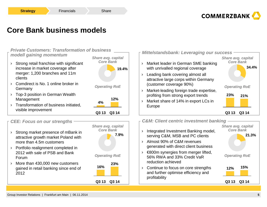

## **Core Bank business models**

### **Private Customers: Transformation of business modell gaining momentum**

- › Strong retail franchise with significant increase in market coverage after merger: 1,200 branches and 11m clients
- › Comdirect is No. 1 online broker in Germany
- › Top-3 position in German Wealth Management
- › Transformation of business initiated, visible improvement



## **CEE: Focus on our strengths**

- › Strong market presence of mBank in attractive growth market Poland with more than 4.5m customers
- › Portfolio realignment completed in 2012 with sale of PSB and Bank Forum
- › More than 430,000 new customers gained in retail banking since end of 2012





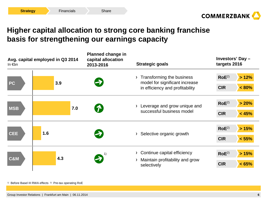

## **Higher capital allocation to strong core banking franchise basis for strengthening our earnings capacity**

| Avg. capital employed in Q3 2014<br>In $\notin$ bn |     | <b>Planned change in</b><br>capital allocation<br>2013-2016 | <b>Strategic goals</b>                                                                                   | Investors' Day -<br>targets 2016             |  |
|----------------------------------------------------|-----|-------------------------------------------------------------|----------------------------------------------------------------------------------------------------------|----------------------------------------------|--|
| <b>PC</b>                                          | 3.9 |                                                             | Transforming the business<br>$\sum$<br>model for significant increase<br>in efficiency and profitability | $RoE^{2)}$<br>>12%<br><b>CIR</b><br>$< 80\%$ |  |
| <b>MSB</b>                                         | 7.0 | $\boldsymbol{\Omega}$                                       | Leverage and grow unique and<br>successful business model                                                | $RoE^{2)}$<br>> 20%<br><b>CIR</b><br>< 45%   |  |
| <b>CEE</b>                                         | 1.6 | $\blacktriangleright$                                       | Selective organic growth<br>≻                                                                            | $RoE^{2)}$<br>>15%<br><b>CIR</b><br>< 55%    |  |
| <b>C&amp;M</b>                                     | 4.3 | 2                                                           | Continue capital efficiency<br>Maintain profitability and grow<br>selectively                            | $RoE^{2)}$<br>>15%<br><b>CIR</b><br>< 65%    |  |

<sup>1)</sup> Before Basel III RWA effects 2) Pre-tax operating RoE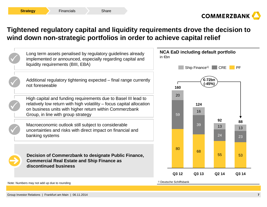

## **Tightened regulatory capital and liquidity requirements drove the decision to wind down non-strategic portfolios in order to achieve capital relief**

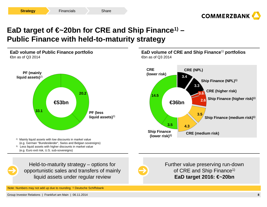

# **EaD target of €~20bn for CRE and Ship Finance1) –Public Finance with held-to-maturity strategy**



Note: Numbers may not add up due to rounding <sup>1)</sup> Deutsche Schiffsbank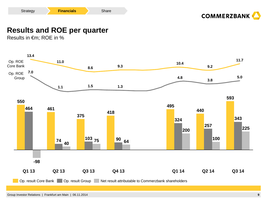



## **Results and ROE per quarter**

Results in €m; ROE in %

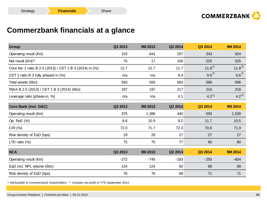

## **Commerzbank financials at a glance**

| <b>Group</b>                                             | Q3 2013 | 9M 2013 | Q2 2014 | Q3 2014    | <b>9M 2014</b> |
|----------------------------------------------------------|---------|---------|---------|------------|----------------|
| Operating result $(\epsilon m)$                          | 103     | 641     | 257     | 343        | 924            |
| Net result $(\epsilon m)^{1}$                            | 75      | 17      | 100     | 225        | 525            |
| Core tier 1 ratio B 2.5 (2013) / CET 1 B 3 (2014) in (%) | 12.7    | 12.7    | 11.7    | $11.8^{2}$ | $11.8^{2}$     |
| CET 1 ratio B 3 fully phased in (%)                      | n/a     | n/a     | 9.4     | $9.6^{2}$  | $9.6^{2}$      |
| Total assets $(\epsilon$ bn)                             | 593     | 593     | 583     | 596        | 596            |
| RWA B 2.5 (2013) / CET 1 B 3 (2014) (€bn)                | 197     | 197     | 217     | 216        | 216            |
| Leverage ratio (phase-in, %)                             | n/a     | n/a     | 4.1     | $4.2^{2}$  | $4.2^{2}$      |
| Core Bank (incl. O&C)                                    | Q3 2013 | 9M 2013 | Q2 2014 | Q3 2014    | <b>9M 2014</b> |
| Operating result $(\epsilon m)$                          | 375     | 1,386   | 440     | 593        | 1,528          |
| Op. RoE (%)                                              | 8.6     | 10.9    | 9.2     | 11.7       | 10.5           |
| CIR (%)                                                  | 72.0    | 71.7    | 72.3    | 70.6       | 71.9           |
| Risk density of EaD (bps)                                | 29      | 29      | 27      | 27         | 27             |
| LTD ratio $(\%)$                                         | 75      | 75      | 77      | 80         | 80             |
| <b>NCA</b>                                               | Q3 2013 | 9M 2013 | Q2 2014 | Q3 2014    | <b>9M 2014</b> |
| Operating result $(\epsilon m)$                          | $-272$  | $-745$  | $-183$  | $-250$     | $-604$         |
| EaD incl. NPL volume $(\epsilon$ bn)                     | 124     | 124     | 92      | 88         | 88             |
| Risk density of EaD (bps)                                | 76      | 76      | 68      | 71         | 71             |

 $^{\text{\tiny{1)}}}$  Attributable to Commerzbank shareholders  $^{\text{\tiny{2)}}}$  Includes net profit of YTD September 2014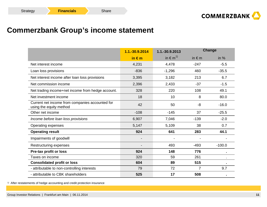## **Commerzbank Group's income statement**

|                                                                            | 1.1.-30.9.2014  | 1.1.-30.9.2013           |               | <b>Change</b> |
|----------------------------------------------------------------------------|-----------------|--------------------------|---------------|---------------|
|                                                                            | in $\epsilon$ m | in $\in$ m <sup>1)</sup> | in $\notin$ m | in $%$        |
| Net interest income                                                        | 4,231           | 4,478                    | $-247$        | $-5.5$        |
| Loan loss provisions                                                       | $-836$          | $-1,296$                 | 460           | $-35.5$       |
| Net interest income after loan loss provisions                             | 3,395           | 3,182                    | 213           | 6.7           |
| Net commission income                                                      | 2,396           | 2,433                    | $-37$         | $-1.5$        |
| Net trading income+net income from hedge account.                          | 328             | 220                      | 108           | 49.1          |
| Net investment income                                                      | 18              | 10                       | 8             | 80.0          |
| Current net income from companies accounted for<br>using the equity method | 42              | 50                       | -8            | $-16.0$       |
| Other net income                                                           | $-108$          | $-145$                   | 37            | $-25.5$       |
| Income before loan loss provisions                                         | 6,907           | 7,046                    | $-139$        | $-2.0$        |
| Operating expenses                                                         | 5,147           | 5,109                    | 38            | 0.7           |
| <b>Operating result</b>                                                    | 924             | 641                      | 283           | 44.1          |
| Impairments of goodwill                                                    |                 |                          |               |               |
| Restructuring expenses                                                     |                 | 493                      | $-493$        | $-100.0$      |
| Pre-tax profit or loss                                                     | 924             | 148                      | 776           |               |
| Taxes on income                                                            | 320             | 59                       | 261           |               |
| <b>Consolidated profit or loss</b>                                         | 604             | 89                       | 515           |               |
| - attributable to non-controlling interests                                | 79              | 72                       | 7             | 9.7           |
| - attributable to CBK shareholders                                         | 525             | 17                       | 508           |               |

<sup>1)</sup> After restatements of hedge accounting and credit protection insurance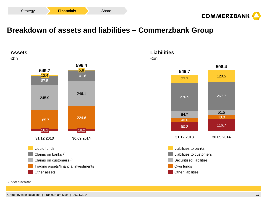



## **Breakdown of assets and liabilities – Commerzbank Group**





#### 1) After provisions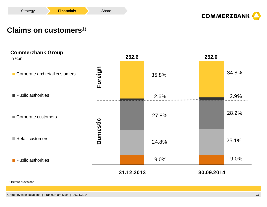



## **Claims on customers**1)

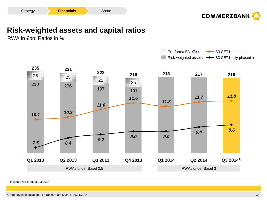



## **Risk-weighted assets and capital ratios**

RWA in €bn; Ratios in %



1) Includes net profit of 9M 2014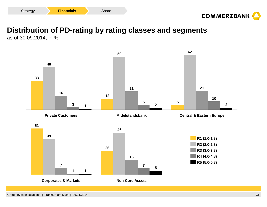



# **Distribution of PD-rating by rating classes and segments**

as of 30.09.2014, in %

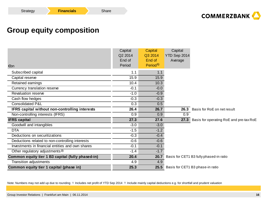## **Group equity composition**

|                                                   | Capital<br>Q2 2014 | Capital<br>Q3 2014             | Capital<br>YTD Sep 2014 |                                         |
|---------------------------------------------------|--------------------|--------------------------------|-------------------------|-----------------------------------------|
| €bn                                               | End of<br>Period   | End of<br>Period <sup>1)</sup> | Average                 |                                         |
| Subscribed capital                                | 1.1                | 1.1                            |                         |                                         |
| Capital reserve                                   | 15.9               | 15.9                           |                         |                                         |
| Retained earnings                                 | 10.4               | 10.3                           |                         |                                         |
| Currency translation reserve                      | $-0.1$             | $-0.0$                         |                         |                                         |
| <b>Revaluation reserve</b>                        | $-1.0$             | $-0.9$                         |                         |                                         |
| Cash flow hedges                                  | $-0.3$             | $-0.3$                         |                         |                                         |
| <b>Consolidated P&amp;L</b>                       | 0.3                | 0.5                            |                         |                                         |
| IFRS capital without non-controlling interests    | 26.4               | 26.7                           |                         | 26.3 Basis for RoE on net result        |
| Non-controlling interests (IFRS)                  | 0.9                | 0.9                            | 0.9                     |                                         |
| <b>IFRS</b> capital                               | 27.3               | 27.6                           | 27.3                    | Basis for operating RoE and pre-tax RoE |
| Goodwill and intangibles                          | $-3.0$             | $-3.0$                         |                         |                                         |
| <b>DTA</b>                                        | $-1.5$             | $-1.2$                         |                         |                                         |
| Deductions on securitizations                     | $-0.3$             | $-0.4$                         |                         |                                         |
| Deductions related to non-controlling interests   | $-0.6$             | $-0.6$                         |                         |                                         |
| Investments in financial entities and own shares  | $-0.1$             | $-0.1$                         |                         |                                         |
| Other regulatory adjustments <sup>2)</sup>        | $-1.4$             | $-1.7$                         |                         |                                         |
| Common equity tier 1 B3 capital (fully phased-in) | 20.4               | 20.7                           |                         | Basis for CET1 B3 fully phased-in ratio |
| <b>Transition adjustments</b>                     | 4.9                | 4.9                            |                         |                                         |
| Common equity tier 1 capital (phase in)           | 25.3               |                                |                         | 25.5 Basis for CET1 B3 phase-in ratio   |

Note: Numbers may not add up due to rounding <sup>1)</sup> Includes net profit of YTD Sep 2014 <sup>2)</sup> Include mainly capital deductions e.g. for shortfall and prudent valuation

**Share**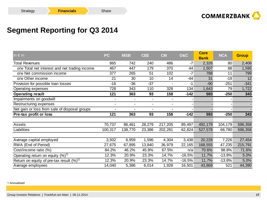

## **Segment Reporting for Q3 2014**

| in $\epsilon$ m                               | <b>PC</b>      | <b>MSB</b>     | <b>CEE</b>     | <b>CM</b>      | <b>O&amp;C</b> | <b>Core</b><br><b>Bank</b> | <b>NCA</b> | <b>Group</b> |
|-----------------------------------------------|----------------|----------------|----------------|----------------|----------------|----------------------------|------------|--------------|
| <b>Total Revenues</b>                         | 865            | 742            | 240            | 486            | $-7$           | 2,326                      | 80         | 2,406        |
| o/w Total net interest and net trading income | 467            | 447            | 179            | 370            | 44             | 1,507                      | 88         | 1,595        |
| o/w Net commission income                     | 377            | 265            | 51             | 102            | $-7$           | 788                        | 11         | 799          |
| o/w Other income                              | 21             | 30             | 10             | 14             | $-44$          | 31                         | $-19$      | 12           |
| Provision for possible loan losses            | $-16$          | $-36$          | $-37$          |                | -1             | $-90$                      | $-251$     | $-341$       |
| Operating expenses                            | 728            | 343            | 110            | 328            | 134            | 1,643                      | 79         | 1,722        |
| <b>Operating result</b>                       | 121            | 363            | 93             | 158            | $-142$         | 593                        | $-250$     | 343          |
| Impairments on goodwill                       | $\blacksquare$ | $\blacksquare$ | $\blacksquare$ |                |                |                            |            |              |
| Restructuring expenses                        | $\blacksquare$ | $\blacksquare$ | $\blacksquare$ | $\blacksquare$ |                |                            |            |              |
| Net gain or loss from sale of disposal groups |                |                |                |                |                |                            |            |              |
| Pre-tax profit or loss                        | 121            | 363            | 93             | 158            | $-142$         | 593                        | $-250$     | 343          |
|                                               |                |                |                |                |                |                            |            |              |
| Assets                                        | 70,737         | 86,461         | 28,279         | 217,205        | 89,497         | 492,179                    | 104,179    | 596,358      |
| Liabilities                                   | 100,317        | 138,770        | 23,386         | 202,281        | 62,824         | 527,578                    | 68,780     | 596,358      |
|                                               |                |                |                |                |                |                            |            |              |
| Average capital employed                      | 3,932          | 6,959          | 1,596          | 4,304          | 3,438          | 20,228                     | 7,226      | 27,454       |
| RWA (End of Period)                           | 27,675         | 67,895         | 13,840         | 36,979         | 22,165         | 168,555                    | 47,235     | 215,791      |
| Cost/income ratio (%)                         | 84.2%          | 46.2%          | 45.8%          | 67.5%          | n/a            | 70.6%                      | 98.8%      | 71.6%        |
| Operating return on equity $(%)1$             | 12.3%          | 20.9%          | 23.3%          | 14.7%          | $-16.5%$       | 11.7%                      | $-13.8%$   | 5.0%         |
| Return on equity of pre-tax result $(\%)^1$   | 12.3%          | 20.9%          | 23.3%          | 14.7%          | $-16.5%$       | 11.7%                      | $-13.8%$   | 5.0%         |
| Average employees                             | 14,040         | 5,386          | 6,014          | 1,928          | 16,501         | 43,869                     | 521        | 44,390       |

1) Annualised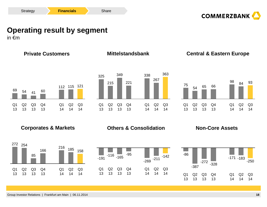



# **Operating result by segment**

in €m

**Private CustomersCorporates & Markets Consolidation Mittelstandsbank Central & Eastern EuropeNon-Core Assets**Q2 14112 115 121 Q1 14 $Q<sub>4</sub>$ 1360Q3 1341 $Q<sub>2</sub>$  1354Q1 1369Q3 14 $Q<sub>2</sub>$  14267Q1 14338 $Q<sub>4</sub>$ 13221Q3 13349Q2 13215Q1 13325Q3 14363 $Q<sub>2</sub>$  1484Q1 1498Q4 1366Q3 1365Q2 1354Q1 1375Q3 149318521616685254272158-211-269-95-165-116 -191-142171 <sub>-183</sub>--86-250

> Q2 14

Q3 14

Q1 14

Q4 13

Q3 13

Q2 13

Q1 13

 $Q<sub>4</sub>$ 13

Q3 13

 $Q<sub>2</sub>$ 13

Q1 13  $Q<sub>2</sub>$ 14

Q3 14

Q1 14

 $Q2$ 14

Q3 14

Q1 14

Q4 13

Q3 13

Q2 13

Q1 13 -387

-272

-328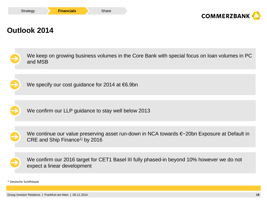



## **Outlook 2014**

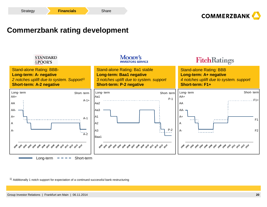

## **Commerzbank rating development**



 $^{1)}$  Additionally 1 notch support for expectation of a continued successful bank restructuring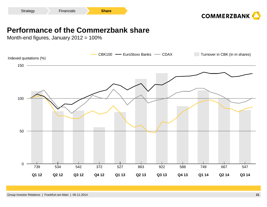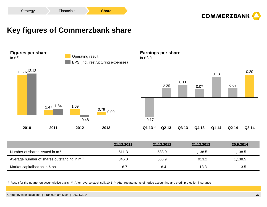

## **Key figures of Commerzbank share**



| <sup>1)</sup> Result for the quarter on accumulative basis <sup>2)</sup> After reverse stock split 10:1 <sup>3</sup> After restatements of hedge accounting and credit protection insurance |  |  |
|---------------------------------------------------------------------------------------------------------------------------------------------------------------------------------------------|--|--|

6.7

8.4

13.3

Market capitalisation in  $\epsilon$  bn

13.5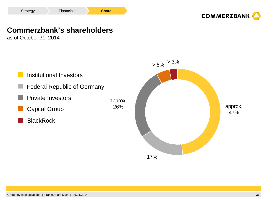

## **Commerzbank's shareholders**

as of October 31, 2014



17%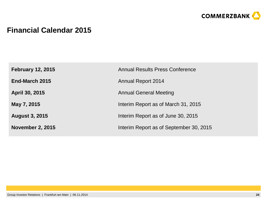

## **Financial Calendar 2015**

| <b>February 12, 2015</b> | <b>Annual Results Press Conference</b>  |
|--------------------------|-----------------------------------------|
| End-March 2015           | <b>Annual Report 2014</b>               |
| April 30, 2015           | <b>Annual General Meeting</b>           |
| May 7, 2015              | Interim Report as of March 31, 2015     |
| <b>August 3, 2015</b>    | Interim Report as of June 30, 2015      |
| <b>November 2, 2015</b>  | Interim Report as of September 30, 2015 |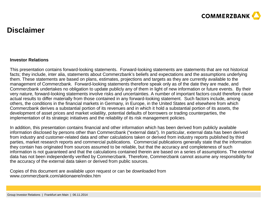

## **Disclaimer**

### **Investor Relations**

This presentation contains forward-looking statements. Forward-looking statements are statements that are not historical facts; they include, inter alia, statements about Commerzbank's beliefs and expectations and the assumptions underlying them. These statements are based on plans, estimates, projections and targets as they are currently available to the management of Commerzbank. Forward-looking statements therefore speak only as of the date they are made, and Commerzbank undertakes no obligation to update publicly any of them in light of new information or future events. By their very nature, forward-looking statements involve risks and uncertainties. A number of important factors could therefore cause actual results to differ materially from those contained in any forward-looking statement. Such factors include, among others, the conditions in the financial markets in Germany, in Europe, in the United States and elsewhere from which Commerzbank derives a substantial portion of its revenues and in which it hold a substantial portion of its assets, the development of asset prices and market volatility, potential defaults of borrowers or trading counterparties, the implementation of its strategic initiatives and the reliability of its risk management policies.

In addition, this presentation contains financial and other information which has been derived from publicly available information disclosed by persons other than Commerzbank ("external data"). In particular, external data has been derived from industry and customer-related data and other calculations taken or derived from industry reports published by third parties, market research reports and commercial publications. Commercial publications generally state that the information they contain has originated from sources assumed to be reliable, but that the accuracy and completeness of such information is not guaranteed and that the calculations contained therein are based on a series of assumptions. The external data has not been independently verified by Commerzbank. Therefore, Commerzbank cannot assume any responsibility for the accuracy of the external data taken or derived from public sources.

Copies of this document are available upon request or can be downloaded from www.commerzbank.com/aktionaere/index.htm